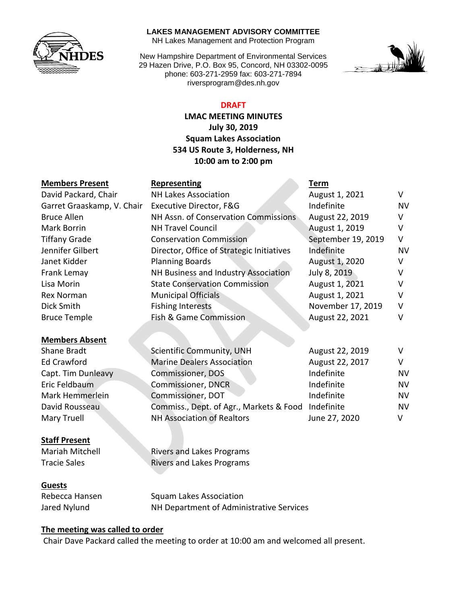

#### **LAKES MANAGEMENT ADVISORY COMMITTEE**

NH Lakes Management and Protection Program

New Hampshire Department of Environmental Services 29 Hazen Drive, P.O. Box 95, Concord, NH 03302-0095 phone: 603-271-2959 fax: 603-271-7894 riversprogram@des.nh.gov



### **DRAFT**

**LMAC MEETING MINUTES July 30, 2019 Squam Lakes Association 534 US Route 3, Holderness, NH 10:00 am to 2:00 pm**

| <b>Members Present</b>     | Representing                              | Term               |              |
|----------------------------|-------------------------------------------|--------------------|--------------|
| David Packard, Chair       | <b>NH Lakes Association</b>               | August 1, 2021     | V            |
| Garret Graaskamp, V. Chair | Executive Director, F&G                   | Indefinite         | <b>NV</b>    |
| Bruce Allen                | NH Assn. of Conservation Commissions      | August 22, 2019    | V            |
| <b>Mark Borrin</b>         | <b>NH Travel Council</b>                  | August 1, 2019     | v            |
| <b>Tiffany Grade</b>       | <b>Conservation Commission</b>            | September 19, 2019 | V            |
| Jennifer Gilbert           | Director, Office of Strategic Initiatives | Indefinite         | <b>NV</b>    |
| Janet Kidder               | <b>Planning Boards</b>                    | August 1, 2020     | v            |
| Frank Lemay                | NH Business and Industry Association      | July 8, 2019       |              |
| Lisa Morin                 | <b>State Conservation Commission</b>      | August 1, 2021     | V            |
| <b>Rex Norman</b>          | <b>Municipal Officials</b>                | August 1, 2021     | v            |
| Dick Smith                 | <b>Fishing Interests</b>                  | November 17, 2019  | v            |
| <b>Bruce Temple</b>        | <b>Fish &amp; Game Commission</b>         | August 22, 2021    | v            |
| <b>Members Absent</b>      |                                           |                    |              |
| Chana Duadh                | $C_n$ $($ ant $T_n$ $C_n$ mana $($        |                    | $\mathbf{v}$ |

| <b>Nembers Absent</b> |                                                    |                 |           |
|-----------------------|----------------------------------------------------|-----------------|-----------|
| Shane Bradt           | <b>Scientific Community, UNH</b>                   | August 22, 2019 |           |
| <b>Ed Crawford</b>    | <b>Marine Dealers Association</b>                  | August 22, 2017 | v         |
| Capt. Tim Dunleavy    | <b>Commissioner, DOS</b>                           | Indefinite      | <b>NV</b> |
| Eric Feldbaum         | <b>Commissioner, DNCR</b>                          | Indefinite      | <b>NV</b> |
| Mark Hemmerlein       | <b>Commissioner, DOT</b>                           | Indefinite      | <b>NV</b> |
| David Rousseau        | Commiss., Dept. of Agr., Markets & Food Indefinite |                 | <b>NV</b> |
| Mary Truell           | <b>NH Association of Realtors</b>                  | June 27, 2020   | v         |

#### **Staff Present**

Mariah Mitchell **Rivers and Lakes Programs** Tracie Sales **Rivers and Lakes Programs** 

#### **Guests**

Rebecca Hansen Squam Lakes Association Jared Nylund NH Department of Administrative Services

#### **The meeting was called to order**

Chair Dave Packard called the meeting to order at 10:00 am and welcomed all present.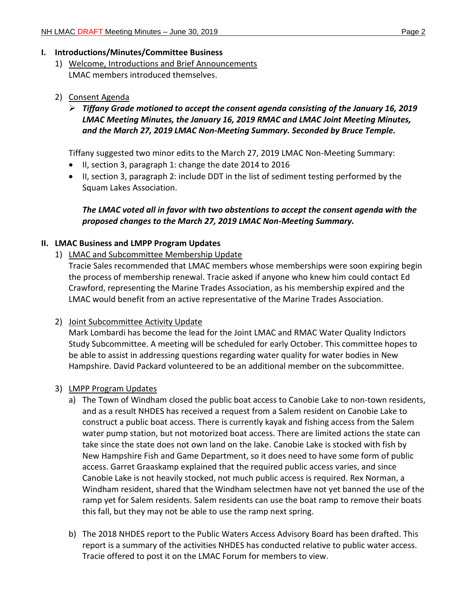### **I. Introductions/Minutes/Committee Business**

1) Welcome, Introductions and Brief Announcements LMAC members introduced themselves.

## 2) Consent Agenda

 *Tiffany Grade motioned to accept the consent agenda consisting of the January 16, 2019 LMAC Meeting Minutes, the January 16, 2019 RMAC and LMAC Joint Meeting Minutes, and the March 27, 2019 LMAC Non-Meeting Summary. Seconded by Bruce Temple.* 

Tiffany suggested two minor edits to the March 27, 2019 LMAC Non-Meeting Summary:

- II, section 3, paragraph 1: change the date 2014 to 2016
- II, section 3, paragraph 2: include DDT in the list of sediment testing performed by the Squam Lakes Association.

# *The LMAC voted all in favor with two abstentions to accept the consent agenda with the proposed changes to the March 27, 2019 LMAC Non-Meeting Summary.*

## **II. LMAC Business and LMPP Program Updates**

1) LMAC and Subcommittee Membership Update

Tracie Sales recommended that LMAC members whose memberships were soon expiring begin the process of membership renewal. Tracie asked if anyone who knew him could contact Ed Crawford, representing the Marine Trades Association, as his membership expired and the LMAC would benefit from an active representative of the Marine Trades Association.

## 2) Joint Subcommittee Activity Update

Mark Lombardi has become the lead for the Joint LMAC and RMAC Water Quality Indictors Study Subcommittee. A meeting will be scheduled for early October. This committee hopes to be able to assist in addressing questions regarding water quality for water bodies in New Hampshire. David Packard volunteered to be an additional member on the subcommittee.

## 3) LMPP Program Updates

- a) The Town of Windham closed the public boat access to Canobie Lake to non-town residents, and as a result NHDES has received a request from a Salem resident on Canobie Lake to construct a public boat access. There is currently kayak and fishing access from the Salem water pump station, but not motorized boat access. There are limited actions the state can take since the state does not own land on the lake. Canobie Lake is stocked with fish by New Hampshire Fish and Game Department, so it does need to have some form of public access. Garret Graaskamp explained that the required public access varies, and since Canobie Lake is not heavily stocked, not much public access is required. Rex Norman, a Windham resident, shared that the Windham selectmen have not yet banned the use of the ramp yet for Salem residents. Salem residents can use the boat ramp to remove their boats this fall, but they may not be able to use the ramp next spring.
- b) The 2018 NHDES report to the Public Waters Access Advisory Board has been drafted. This report is a summary of the activities NHDES has conducted relative to public water access. Tracie offered to post it on the LMAC Forum for members to view.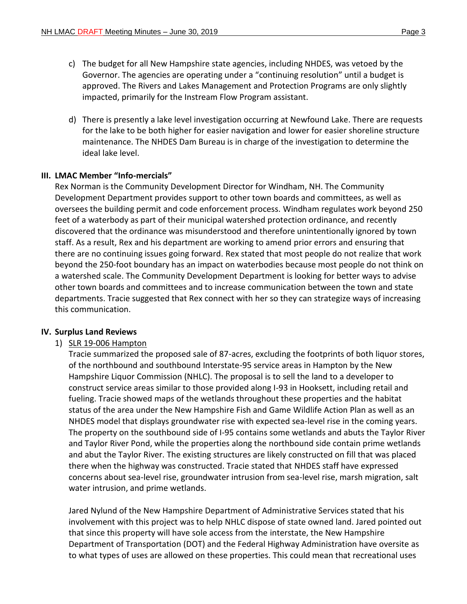- c) The budget for all New Hampshire state agencies, including NHDES, was vetoed by the Governor. The agencies are operating under a "continuing resolution" until a budget is approved. The Rivers and Lakes Management and Protection Programs are only slightly impacted, primarily for the Instream Flow Program assistant.
- d) There is presently a lake level investigation occurring at Newfound Lake. There are requests for the lake to be both higher for easier navigation and lower for easier shoreline structure maintenance. The NHDES Dam Bureau is in charge of the investigation to determine the ideal lake level.

#### **III. LMAC Member "Info-mercials"**

Rex Norman is the Community Development Director for Windham, NH. The Community Development Department provides support to other town boards and committees, as well as oversees the building permit and code enforcement process. Windham regulates work beyond 250 feet of a waterbody as part of their municipal watershed protection ordinance, and recently discovered that the ordinance was misunderstood and therefore unintentionally ignored by town staff. As a result, Rex and his department are working to amend prior errors and ensuring that there are no continuing issues going forward. Rex stated that most people do not realize that work beyond the 250-foot boundary has an impact on waterbodies because most people do not think on a watershed scale. The Community Development Department is looking for better ways to advise other town boards and committees and to increase communication between the town and state departments. Tracie suggested that Rex connect with her so they can strategize ways of increasing this communication.

#### **IV. Surplus Land Reviews**

#### 1) SLR 19-006 Hampton

Tracie summarized the proposed sale of 87-acres, excluding the footprints of both liquor stores, of the northbound and southbound Interstate-95 service areas in Hampton by the New Hampshire Liquor Commission (NHLC). The proposal is to sell the land to a developer to construct service areas similar to those provided along I-93 in Hooksett, including retail and fueling. Tracie showed maps of the wetlands throughout these properties and the habitat status of the area under the New Hampshire Fish and Game Wildlife Action Plan as well as an NHDES model that displays groundwater rise with expected sea-level rise in the coming years. The property on the southbound side of I-95 contains some wetlands and abuts the Taylor River and Taylor River Pond, while the properties along the northbound side contain prime wetlands and abut the Taylor River. The existing structures are likely constructed on fill that was placed there when the highway was constructed. Tracie stated that NHDES staff have expressed concerns about sea-level rise, groundwater intrusion from sea-level rise, marsh migration, salt water intrusion, and prime wetlands.

Jared Nylund of the New Hampshire Department of Administrative Services stated that his involvement with this project was to help NHLC dispose of state owned land. Jared pointed out that since this property will have sole access from the interstate, the New Hampshire Department of Transportation (DOT) and the Federal Highway Administration have oversite as to what types of uses are allowed on these properties. This could mean that recreational uses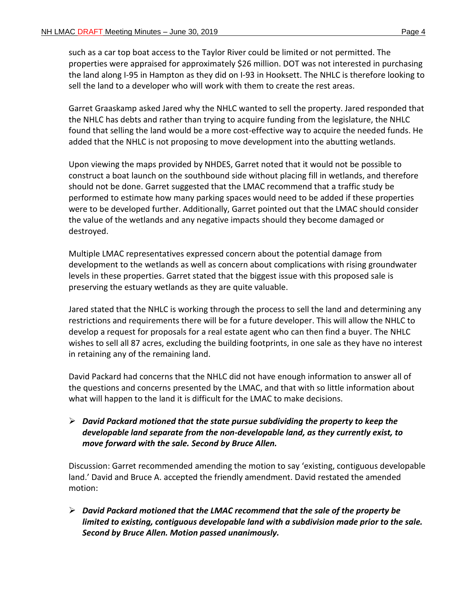such as a car top boat access to the Taylor River could be limited or not permitted. The properties were appraised for approximately \$26 million. DOT was not interested in purchasing the land along I-95 in Hampton as they did on I-93 in Hooksett. The NHLC is therefore looking to sell the land to a developer who will work with them to create the rest areas.

Garret Graaskamp asked Jared why the NHLC wanted to sell the property. Jared responded that the NHLC has debts and rather than trying to acquire funding from the legislature, the NHLC found that selling the land would be a more cost-effective way to acquire the needed funds. He added that the NHLC is not proposing to move development into the abutting wetlands.

Upon viewing the maps provided by NHDES, Garret noted that it would not be possible to construct a boat launch on the southbound side without placing fill in wetlands, and therefore should not be done. Garret suggested that the LMAC recommend that a traffic study be performed to estimate how many parking spaces would need to be added if these properties were to be developed further. Additionally, Garret pointed out that the LMAC should consider the value of the wetlands and any negative impacts should they become damaged or destroyed.

Multiple LMAC representatives expressed concern about the potential damage from development to the wetlands as well as concern about complications with rising groundwater levels in these properties. Garret stated that the biggest issue with this proposed sale is preserving the estuary wetlands as they are quite valuable.

Jared stated that the NHLC is working through the process to sell the land and determining any restrictions and requirements there will be for a future developer. This will allow the NHLC to develop a request for proposals for a real estate agent who can then find a buyer. The NHLC wishes to sell all 87 acres, excluding the building footprints, in one sale as they have no interest in retaining any of the remaining land.

David Packard had concerns that the NHLC did not have enough information to answer all of the questions and concerns presented by the LMAC, and that with so little information about what will happen to the land it is difficult for the LMAC to make decisions.

 *David Packard motioned that the state pursue subdividing the property to keep the developable land separate from the non-developable land, as they currently exist, to move forward with the sale. Second by Bruce Allen.*

Discussion: Garret recommended amending the motion to say 'existing, contiguous developable land.' David and Bruce A. accepted the friendly amendment. David restated the amended motion:

 *David Packard motioned that the LMAC recommend that the sale of the property be limited to existing, contiguous developable land with a subdivision made prior to the sale. Second by Bruce Allen. Motion passed unanimously.*